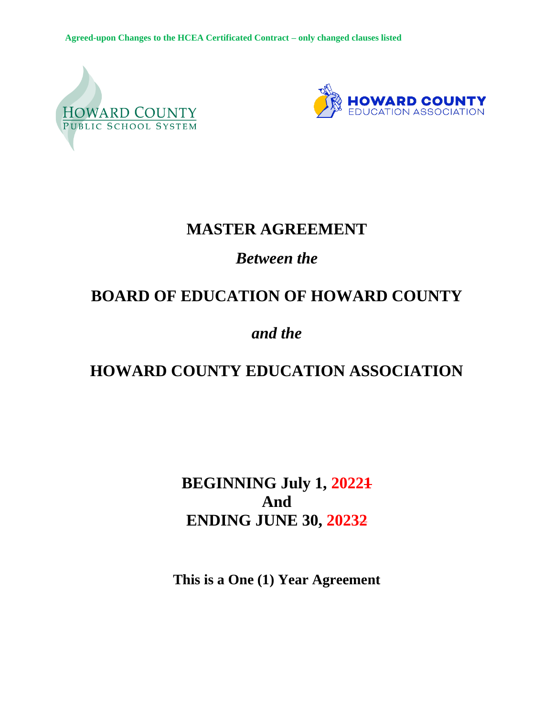**Agreed-upon Changes to the HCEA Certificated Contract – only changed clauses listed**





# **MASTER AGREEMENT**

# *Between the*

# **BOARD OF EDUCATION OF HOWARD COUNTY**

# *and the*

# **HOWARD COUNTY EDUCATION ASSOCIATION**

# **BEGINNING July 1, 20221 And ENDING JUNE 30, 20232**

**This is a One (1) Year Agreement**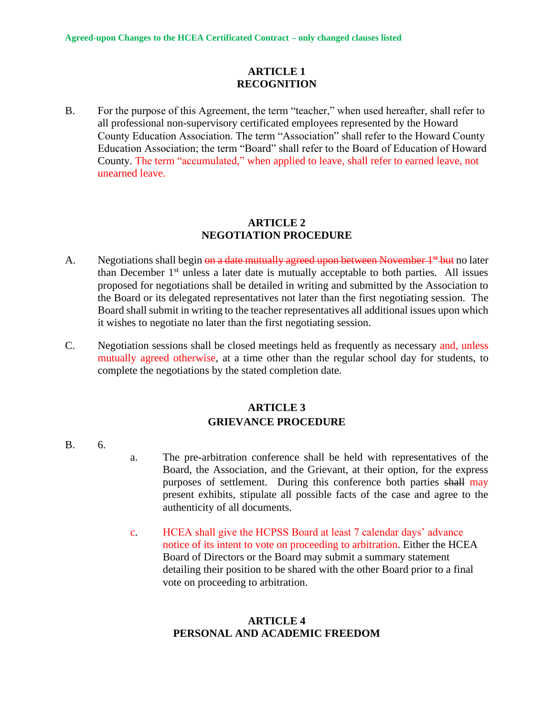#### **ARTICLE 1 RECOGNITION**

B. For the purpose of this Agreement, the term "teacher," when used hereafter, shall refer to all professional non-supervisory certificated employees represented by the Howard County Education Association. The term "Association" shall refer to the Howard County Education Association; the term "Board" shall refer to the Board of Education of Howard County. The term "accumulated," when applied to leave, shall refer to earned leave, not unearned leave.

#### **ARTICLE 2 NEGOTIATION PROCEDURE**

- A. Negotiations shall begin on a date mutually agreed upon between November  $1^{st}$  but no later than December 1<sup>st</sup> unless a later date is mutually acceptable to both parties. All issues proposed for negotiations shall be detailed in writing and submitted by the Association to the Board or its delegated representatives not later than the first negotiating session. The Board shall submit in writing to the teacher representatives all additional issues upon which it wishes to negotiate no later than the first negotiating session.
- C. Negotiation sessions shall be closed meetings held as frequently as necessary and, unless mutually agreed otherwise, at a time other than the regular school day for students, to complete the negotiations by the stated completion date.

## **ARTICLE 3 GRIEVANCE PROCEDURE**

- B. 6.
- a. The pre-arbitration conference shall be held with representatives of the Board, the Association, and the Grievant, at their option, for the express purposes of settlement. During this conference both parties shall may present exhibits, stipulate all possible facts of the case and agree to the authenticity of all documents.
- c. HCEA shall give the HCPSS Board at least 7 calendar days' advance notice of its intent to vote on proceeding to arbitration. Either the HCEA Board of Directors or the Board may submit a summary statement detailing their position to be shared with the other Board prior to a final vote on proceeding to arbitration.

### **ARTICLE 4 PERSONAL AND ACADEMIC FREEDOM**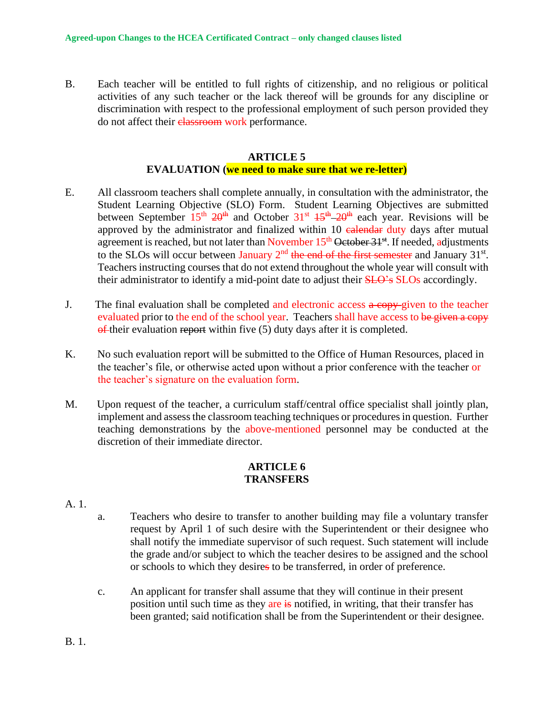B. Each teacher will be entitled to full rights of citizenship, and no religious or political activities of any such teacher or the lack thereof will be grounds for any discipline or discrimination with respect to the professional employment of such person provided they do not affect their classroom work performance.

#### **ARTICLE 5**

#### **EVALUATION (we need to make sure that we re-letter)**

- E. All classroom teachers shall complete annually, in consultation with the administrator, the Student Learning Objective (SLO) Form. Student Learning Objectives are submitted between September  $15<sup>th</sup> 20<sup>th</sup>$  and October  $31<sup>st</sup> 15<sup>th</sup> - 20<sup>th</sup>$  each year. Revisions will be approved by the administrator and finalized within 10 calendar duty days after mutual agreement is reached, but not later than November 15<sup>th</sup> October 31<sup>st</sup>. If needed, adjustments to the SLOs will occur between January  $2<sup>nd</sup>$  the end of the first semester and January 31<sup>st</sup>. Teachers instructing courses that do not extend throughout the whole year will consult with their administrator to identify a mid-point date to adjust their **SLO**'s SLOs accordingly.
- J. The final evaluation shall be completed and electronic access a copy-given to the teacher evaluated prior to the end of the school year. Teachers shall have access to be given a copy  $\theta$ -their evaluation report within five (5) duty days after it is completed.
- K. No such evaluation report will be submitted to the Office of Human Resources, placed in the teacher's file, or otherwise acted upon without a prior conference with the teacher or the teacher's signature on the evaluation form.
- M. Upon request of the teacher, a curriculum staff/central office specialist shall jointly plan, implement and assess the classroom teaching techniques or procedures in question. Further teaching demonstrations by the above-mentioned personnel may be conducted at the discretion of their immediate director.

#### **ARTICLE 6 TRANSFERS**

- A. 1.
- a. Teachers who desire to transfer to another building may file a voluntary transfer request by April 1 of such desire with the Superintendent or their designee who shall notify the immediate supervisor of such request. Such statement will include the grade and/or subject to which the teacher desires to be assigned and the school or schools to which they desires to be transferred, in order of preference.
- c. An applicant for transfer shall assume that they will continue in their present position until such time as they are is notified, in writing, that their transfer has been granted; said notification shall be from the Superintendent or their designee.

B. 1.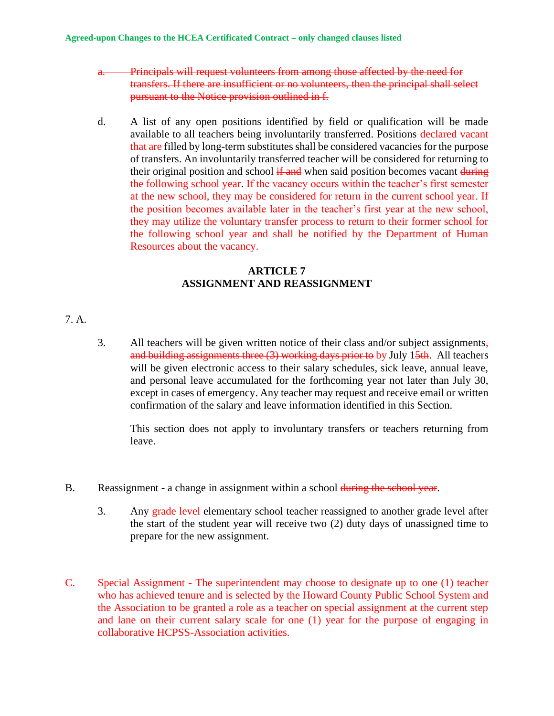- a. Principals will request volunteers from among those affected by the need for transfers. If there are insufficient or no volunteers, then the principal shall select pursuant to the Notice provision outlined in f.
- d. A list of any open positions identified by field or qualification will be made available to all teachers being involuntarily transferred. Positions declared vacant that are filled by long-term substitutes shall be considered vacancies for the purpose of transfers. An involuntarily transferred teacher will be considered for returning to their original position and school if and when said position becomes vacant during the following school year. If the vacancy occurs within the teacher's first semester at the new school, they may be considered for return in the current school year. If the position becomes available later in the teacher's first year at the new school, they may utilize the voluntary transfer process to return to their former school for the following school year and shall be notified by the Department of Human Resources about the vacancy.

## **ARTICLE 7 ASSIGNMENT AND REASSIGNMENT**

#### 7. A.

3. All teachers will be given written notice of their class and/or subject assignments, and building assignments three  $(3)$  working days prior to by July 15th. All teachers will be given electronic access to their salary schedules, sick leave, annual leave, and personal leave accumulated for the forthcoming year not later than July 30, except in cases of emergency. Any teacher may request and receive email or written confirmation of the salary and leave information identified in this Section.

This section does not apply to involuntary transfers or teachers returning from leave.

- B. Reassignment a change in assignment within a school during the school year.
	- 3. Any grade level elementary school teacher reassigned to another grade level after the start of the student year will receive two (2) duty days of unassigned time to prepare for the new assignment.
- C. Special Assignment The superintendent may choose to designate up to one (1) teacher who has achieved tenure and is selected by the Howard County Public School System and the Association to be granted a role as a teacher on special assignment at the current step and lane on their current salary scale for one (1) year for the purpose of engaging in collaborative HCPSS-Association activities.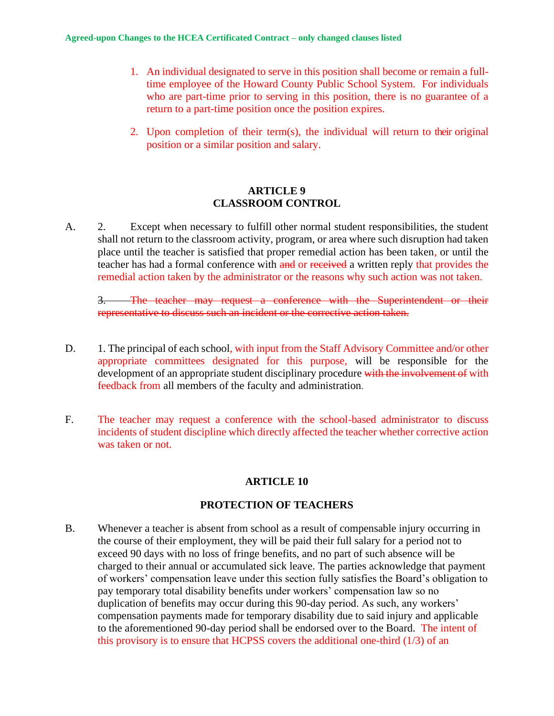- 1. An individual designated to serve in this position shall become or remain a fulltime employee of the Howard County Public School System. For individuals who are part-time prior to serving in this position, there is no guarantee of a return to a part-time position once the position expires.
- 2. Upon completion of their term(s), the individual will return to their original position or a similar position and salary.

#### **ARTICLE 9 CLASSROOM CONTROL**

A. 2. Except when necessary to fulfill other normal student responsibilities, the student shall not return to the classroom activity, program, or area where such disruption had taken place until the teacher is satisfied that proper remedial action has been taken, or until the teacher has had a formal conference with and or received a written reply that provides the remedial action taken by the administrator or the reasons why such action was not taken.

3. The teacher may request a conference with the Superintendent or their representative to discuss such an incident or the corrective action taken.

- D. 1. The principal of each school, with input from the Staff Advisory Committee and/or other appropriate committees designated for this purpose, will be responsible for the development of an appropriate student disciplinary procedure with the involvement of with feedback from all members of the faculty and administration.
- F. The teacher may request a conference with the school-based administrator to discuss incidents of student discipline which directly affected the teacher whether corrective action was taken or not.

## **ARTICLE 10**

### **PROTECTION OF TEACHERS**

B. Whenever a teacher is absent from school as a result of compensable injury occurring in the course of their employment, they will be paid their full salary for a period not to exceed 90 days with no loss of fringe benefits, and no part of such absence will be charged to their annual or accumulated sick leave. The parties acknowledge that payment of workers' compensation leave under this section fully satisfies the Board's obligation to pay temporary total disability benefits under workers' compensation law so no duplication of benefits may occur during this 90-day period. As such, any workers' compensation payments made for temporary disability due to said injury and applicable to the aforementioned 90-day period shall be endorsed over to the Board. The intent of this provisory is to ensure that HCPSS covers the additional one-third (1/3) of an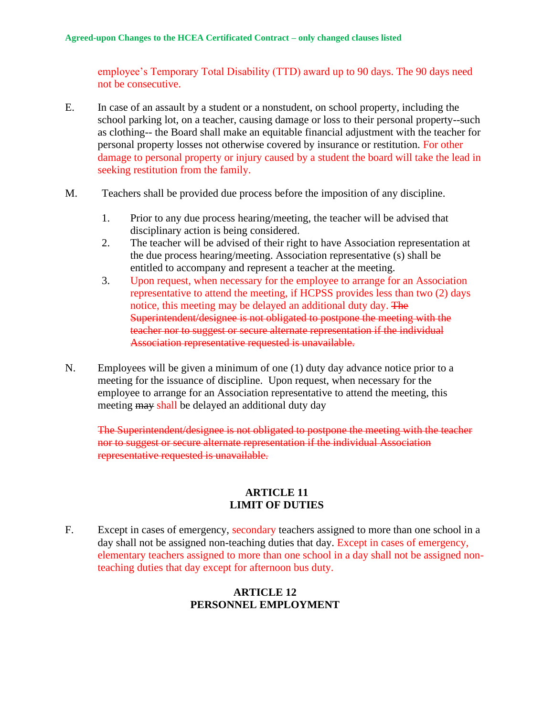employee's Temporary Total Disability (TTD) award up to 90 days. The 90 days need not be consecutive.

- E. In case of an assault by a student or a nonstudent, on school property, including the school parking lot, on a teacher, causing damage or loss to their personal property--such as clothing-- the Board shall make an equitable financial adjustment with the teacher for personal property losses not otherwise covered by insurance or restitution. For other damage to personal property or injury caused by a student the board will take the lead in seeking restitution from the family.
- M. Teachers shall be provided due process before the imposition of any discipline.
	- 1. Prior to any due process hearing/meeting, the teacher will be advised that disciplinary action is being considered.
	- 2. The teacher will be advised of their right to have Association representation at the due process hearing/meeting. Association representative (s) shall be entitled to accompany and represent a teacher at the meeting.
	- 3. Upon request, when necessary for the employee to arrange for an Association representative to attend the meeting, if HCPSS provides less than two (2) days notice, this meeting may be delayed an additional duty day. The Superintendent/designee is not obligated to postpone the meeting with the teacher nor to suggest or secure alternate representation if the individual Association representative requested is unavailable.
- N. Employees will be given a minimum of one (1) duty day advance notice prior to a meeting for the issuance of discipline. Upon request, when necessary for the employee to arrange for an Association representative to attend the meeting, this meeting may shall be delayed an additional duty day

The Superintendent/designee is not obligated to postpone the meeting with the teacher nor to suggest or secure alternate representation if the individual Association representative requested is unavailable.

#### **ARTICLE 11 LIMIT OF DUTIES**

F. Except in cases of emergency, secondary teachers assigned to more than one school in a day shall not be assigned non-teaching duties that day. Except in cases of emergency, elementary teachers assigned to more than one school in a day shall not be assigned nonteaching duties that day except for afternoon bus duty.

### **ARTICLE 12 PERSONNEL EMPLOYMENT**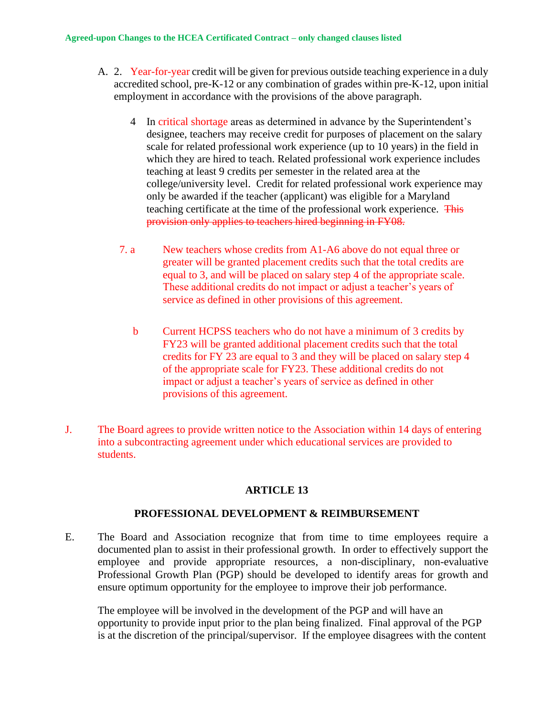#### **Agreed-upon Changes to the HCEA Certificated Contract – only changed clauses listed**

- A. 2. Year-for-year credit will be given for previous outside teaching experience in a duly accredited school, pre-K-12 or any combination of grades within pre-K-12, upon initial employment in accordance with the provisions of the above paragraph.
	- 4 In critical shortage areas as determined in advance by the Superintendent's designee, teachers may receive credit for purposes of placement on the salary scale for related professional work experience (up to 10 years) in the field in which they are hired to teach. Related professional work experience includes teaching at least 9 credits per semester in the related area at the college/university level. Credit for related professional work experience may only be awarded if the teacher (applicant) was eligible for a Maryland teaching certificate at the time of the professional work experience. This provision only applies to teachers hired beginning in FY08.
	- 7. a New teachers whose credits from A1-A6 above do not equal three or greater will be granted placement credits such that the total credits are equal to 3, and will be placed on salary step 4 of the appropriate scale. These additional credits do not impact or adjust a teacher's years of service as defined in other provisions of this agreement.
		- b Current HCPSS teachers who do not have a minimum of 3 credits by FY23 will be granted additional placement credits such that the total credits for FY 23 are equal to 3 and they will be placed on salary step 4 of the appropriate scale for FY23. These additional credits do not impact or adjust a teacher's years of service as defined in other provisions of this agreement.
- J. The Board agrees to provide written notice to the Association within 14 days of entering into a subcontracting agreement under which educational services are provided to students.

### **ARTICLE 13**

### **PROFESSIONAL DEVELOPMENT & REIMBURSEMENT**

E. The Board and Association recognize that from time to time employees require a documented plan to assist in their professional growth. In order to effectively support the employee and provide appropriate resources, a non-disciplinary, non-evaluative Professional Growth Plan (PGP) should be developed to identify areas for growth and ensure optimum opportunity for the employee to improve their job performance.

The employee will be involved in the development of the PGP and will have an opportunity to provide input prior to the plan being finalized. Final approval of the PGP is at the discretion of the principal/supervisor. If the employee disagrees with the content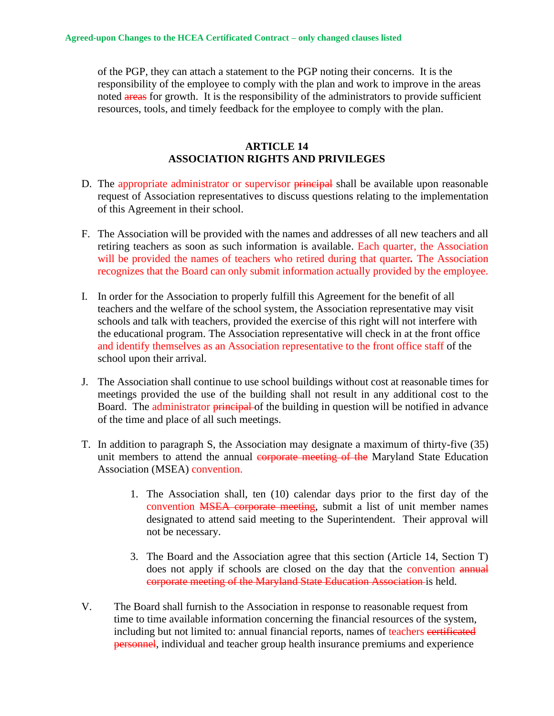of the PGP, they can attach a statement to the PGP noting their concerns. It is the responsibility of the employee to comply with the plan and work to improve in the areas noted areas for growth. It is the responsibility of the administrators to provide sufficient resources, tools, and timely feedback for the employee to comply with the plan.

#### **ARTICLE 14 ASSOCIATION RIGHTS AND PRIVILEGES**

- D. The appropriate administrator or supervisor principal shall be available upon reasonable request of Association representatives to discuss questions relating to the implementation of this Agreement in their school.
- F. The Association will be provided with the names and addresses of all new teachers and all retiring teachers as soon as such information is available. Each quarter, the Association will be provided the names of teachers who retired during that quarter*.* The Association recognizes that the Board can only submit information actually provided by the employee.
- I. In order for the Association to properly fulfill this Agreement for the benefit of all teachers and the welfare of the school system, the Association representative may visit schools and talk with teachers, provided the exercise of this right will not interfere with the educational program. The Association representative will check in at the front office and identify themselves as an Association representative to the front office staff of the school upon their arrival.
- J. The Association shall continue to use school buildings without cost at reasonable times for meetings provided the use of the building shall not result in any additional cost to the Board. The administrator principal of the building in question will be notified in advance of the time and place of all such meetings.
- T. In addition to paragraph S, the Association may designate a maximum of thirty-five (35) unit members to attend the annual corporate meeting of the Maryland State Education Association (MSEA) convention.
	- 1. The Association shall, ten (10) calendar days prior to the first day of the convention MSEA corporate meeting, submit a list of unit member names designated to attend said meeting to the Superintendent. Their approval will not be necessary.
	- 3. The Board and the Association agree that this section (Article 14, Section T) does not apply if schools are closed on the day that the convention annual corporate meeting of the Maryland State Education Association is held.
- V. The Board shall furnish to the Association in response to reasonable request from time to time available information concerning the financial resources of the system, including but not limited to: annual financial reports, names of teachers certificated **personnel**, individual and teacher group health insurance premiums and experience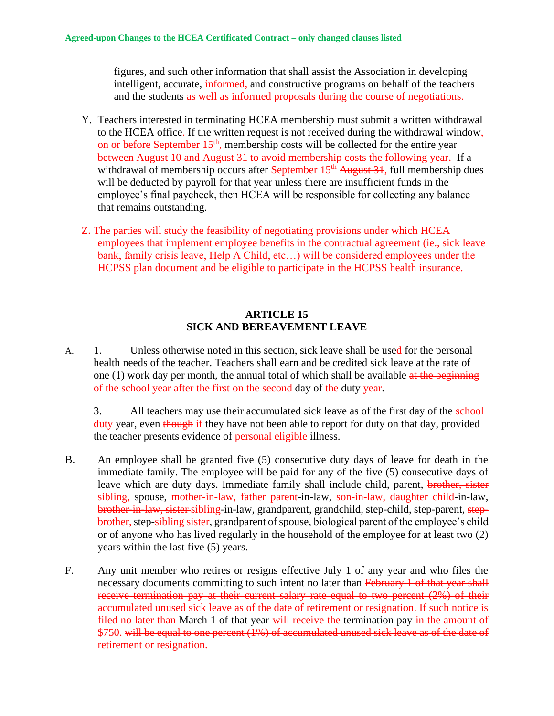figures, and such other information that shall assist the Association in developing intelligent, accurate, informed, and constructive programs on behalf of the teachers and the students as well as informed proposals during the course of negotiations.

- Y. Teachers interested in terminating HCEA membership must submit a written withdrawal to the HCEA office. If the written request is not received during the withdrawal window, on or before September 15<sup>th</sup>, membership costs will be collected for the entire year between August 10 and August 31 to avoid membership costs the following year. If a withdrawal of membership occurs after September 15<sup>th</sup> August 31, full membership dues will be deducted by payroll for that year unless there are insufficient funds in the employee's final paycheck, then HCEA will be responsible for collecting any balance that remains outstanding.
- Z. The parties will study the feasibility of negotiating provisions under which HCEA employees that implement employee benefits in the contractual agreement (ie., sick leave bank, family crisis leave, Help A Child, etc…) will be considered employees under the HCPSS plan document and be eligible to participate in the HCPSS health insurance.

#### **ARTICLE 15 SICK AND BEREAVEMENT LEAVE**

A. 1. Unless otherwise noted in this section, sick leave shall be used for the personal health needs of the teacher. Teachers shall earn and be credited sick leave at the rate of one (1) work day per month, the annual total of which shall be available at the beginning of the school year after the first on the second day of the duty year.

3. All teachers may use their accumulated sick leave as of the first day of the school duty year, even though if they have not been able to report for duty on that day, provided the teacher presents evidence of **personal** eligible illness.

- B. An employee shall be granted five (5) consecutive duty days of leave for death in the immediate family. The employee will be paid for any of the five (5) consecutive days of leave which are duty days. Immediate family shall include child, parent, brother, sister sibling, spouse, mother-in-law, father-parent-in-law, son-in-law, daughter-child-in-law, brother-in-law, sister-sibling-in-law, grandparent, grandchild, step-child, step-parent, stepbrother, step-sibling sister, grandparent of spouse, biological parent of the employee's child or of anyone who has lived regularly in the household of the employee for at least two (2) years within the last five (5) years.
- F. Any unit member who retires or resigns effective July 1 of any year and who files the necessary documents committing to such intent no later than February 1 of that year shall receive termination pay at their current salary rate equal to two percent (2%) of their accumulated unused sick leave as of the date of retirement or resignation. If such notice is filed no later than March 1 of that year will receive the termination pay in the amount of \$750. will be equal to one percent (1%) of accumulated unused sick leave as of the date of retirement or resignation.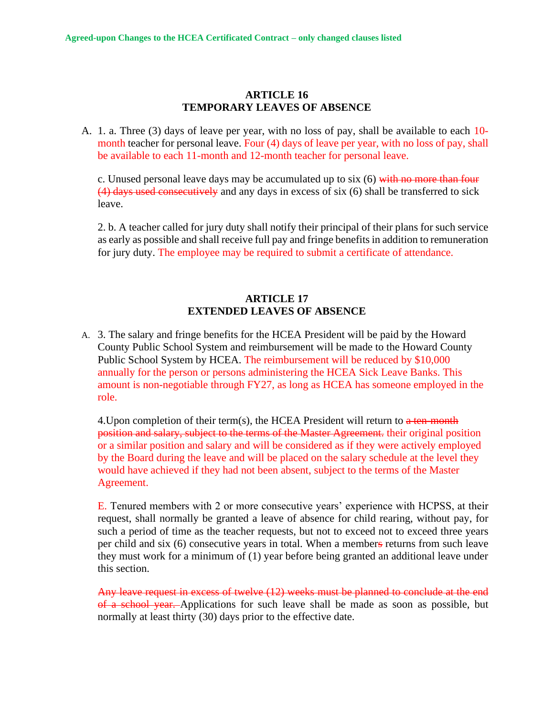#### **ARTICLE 16 TEMPORARY LEAVES OF ABSENCE**

A. 1. a. Three (3) days of leave per year, with no loss of pay, shall be available to each 10 month teacher for personal leave. Four (4) days of leave per year, with no loss of pay, shall be available to each 11-month and 12-month teacher for personal leave.

c. Unused personal leave days may be accumulated up to six  $(6)$  with no more than four (4) days used consecutively and any days in excess of six (6) shall be transferred to sick leave.

2. b. A teacher called for jury duty shall notify their principal of their plans for such service as early as possible and shall receive full pay and fringe benefits in addition to remuneration for jury duty. The employee may be required to submit a certificate of attendance.

#### **ARTICLE 17 EXTENDED LEAVES OF ABSENCE**

A. 3. The salary and fringe benefits for the HCEA President will be paid by the Howard County Public School System and reimbursement will be made to the Howard County Public School System by HCEA. The reimbursement will be reduced by \$10,000 annually for the person or persons administering the HCEA Sick Leave Banks. This amount is non-negotiable through FY27, as long as HCEA has someone employed in the role.

4. Upon completion of their term(s), the HCEA President will return to  $a$  ten-month position and salary, subject to the terms of the Master Agreement. their original position or a similar position and salary and will be considered as if they were actively employed by the Board during the leave and will be placed on the salary schedule at the level they would have achieved if they had not been absent, subject to the terms of the Master Agreement.

E. Tenured members with 2 or more consecutive years' experience with HCPSS, at their request, shall normally be granted a leave of absence for child rearing, without pay, for such a period of time as the teacher requests, but not to exceed not to exceed three years per child and six (6) consecutive years in total. When a members returns from such leave they must work for a minimum of (1) year before being granted an additional leave under this section.

Any leave request in excess of twelve (12) weeks must be planned to conclude at the end of a school year. Applications for such leave shall be made as soon as possible, but normally at least thirty (30) days prior to the effective date.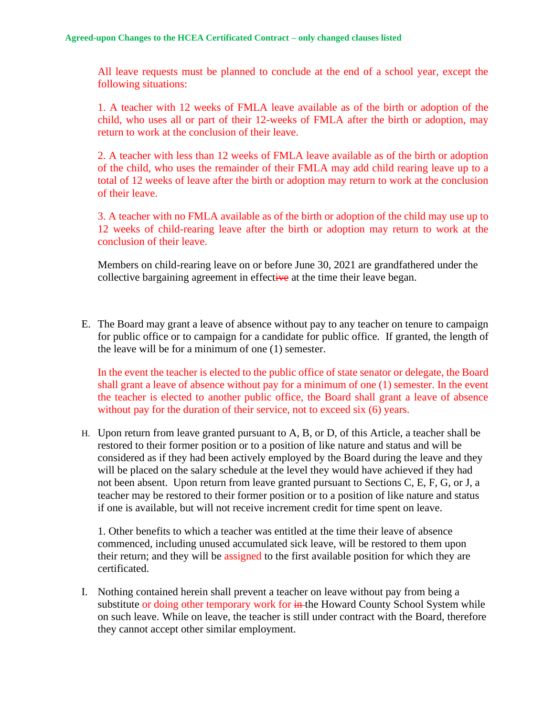All leave requests must be planned to conclude at the end of a school year, except the following situations:

1. A teacher with 12 weeks of FMLA leave available as of the birth or adoption of the child, who uses all or part of their 12-weeks of FMLA after the birth or adoption, may return to work at the conclusion of their leave.

2. A teacher with less than 12 weeks of FMLA leave available as of the birth or adoption of the child, who uses the remainder of their FMLA may add child rearing leave up to a total of 12 weeks of leave after the birth or adoption may return to work at the conclusion of their leave.

3. A teacher with no FMLA available as of the birth or adoption of the child may use up to 12 weeks of child-rearing leave after the birth or adoption may return to work at the conclusion of their leave.

Members on child-rearing leave on or before June 30, 2021 are grandfathered under the collective bargaining agreement in effective at the time their leave began.

E. The Board may grant a leave of absence without pay to any teacher on tenure to campaign for public office or to campaign for a candidate for public office. If granted, the length of the leave will be for a minimum of one (1) semester.

In the event the teacher is elected to the public office of state senator or delegate, the Board shall grant a leave of absence without pay for a minimum of one (1) semester. In the event the teacher is elected to another public office, the Board shall grant a leave of absence without pay for the duration of their service, not to exceed six (6) years.

H. Upon return from leave granted pursuant to A, B, or D, of this Article, a teacher shall be restored to their former position or to a position of like nature and status and will be considered as if they had been actively employed by the Board during the leave and they will be placed on the salary schedule at the level they would have achieved if they had not been absent. Upon return from leave granted pursuant to Sections C, E, F, G, or J, a teacher may be restored to their former position or to a position of like nature and status if one is available, but will not receive increment credit for time spent on leave.

1. Other benefits to which a teacher was entitled at the time their leave of absence commenced, including unused accumulated sick leave, will be restored to them upon their return; and they will be assigned to the first available position for which they are certificated.

 I. Nothing contained herein shall prevent a teacher on leave without pay from being a substitute or doing other temporary work for in the Howard County School System while on such leave. While on leave, the teacher is still under contract with the Board, therefore they cannot accept other similar employment.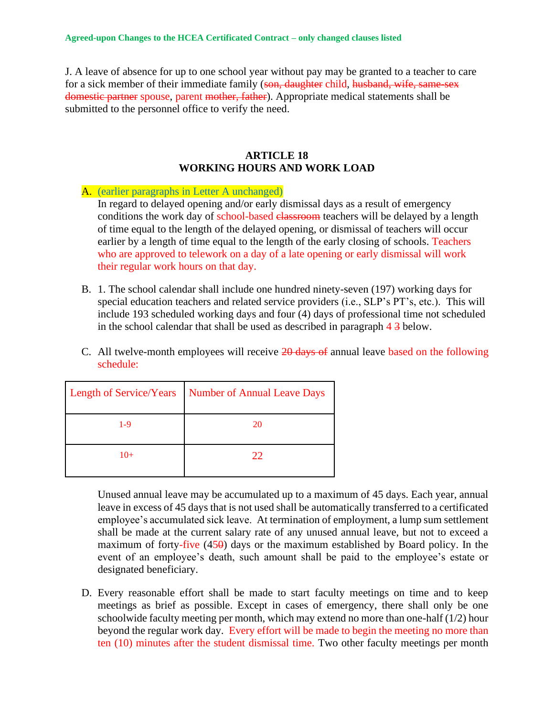J. A leave of absence for up to one school year without pay may be granted to a teacher to care for a sick member of their immediate family (son, daughter child, husband, wife, same-sex domestic partner spouse, parent mother, father). Appropriate medical statements shall be submitted to the personnel office to verify the need.

#### **ARTICLE 18 WORKING HOURS AND WORK LOAD**

A. (earlier paragraphs in Letter A unchanged) In regard to delayed opening and/or early dismissal days as a result of emergency conditions the work day of school-based elassroom teachers will be delayed by a length of time equal to the length of the delayed opening, or dismissal of teachers will occur earlier by a length of time equal to the length of the early closing of schools. Teachers who are approved to telework on a day of a late opening or early dismissal will work their regular work hours on that day.

- B. 1. The school calendar shall include one hundred ninety-seven (197) working days for special education teachers and related service providers (i.e., SLP's PT's, etc.). This will include 193 scheduled working days and four (4) days of professional time not scheduled in the school calendar that shall be used as described in paragraph 4 3 below.
- C. All twelve-month employees will receive  $20$  days of annual leave based on the following schedule:

|       | Length of Service/Years Number of Annual Leave Days |
|-------|-----------------------------------------------------|
| 1-9   | 20                                                  |
| $10+$ | つつ                                                  |

Unused annual leave may be accumulated up to a maximum of 45 days. Each year, annual leave in excess of 45 days that is not used shall be automatically transferred to a certificated employee's accumulated sick leave. At termination of employment, a lump sum settlement shall be made at the current salary rate of any unused annual leave, but not to exceed a maximum of forty-five  $(450)$  days or the maximum established by Board policy. In the event of an employee's death, such amount shall be paid to the employee's estate or designated beneficiary.

D. Every reasonable effort shall be made to start faculty meetings on time and to keep meetings as brief as possible. Except in cases of emergency, there shall only be one schoolwide faculty meeting per month, which may extend no more than one-half (1/2) hour beyond the regular work day. Every effort will be made to begin the meeting no more than ten (10) minutes after the student dismissal time. Two other faculty meetings per month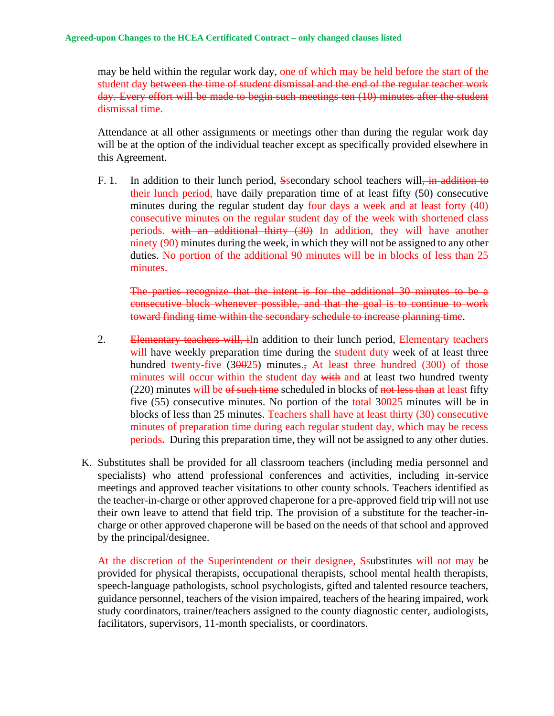may be held within the regular work day, one of which may be held before the start of the student day between the time of student dismissal and the end of the regular teacher work day. Every effort will be made to begin such meetings ten (10) minutes after the student dismissal time.

Attendance at all other assignments or meetings other than during the regular work day will be at the option of the individual teacher except as specifically provided elsewhere in this Agreement.

F. 1. In addition to their lunch period, Ssecondary school teachers will, in addition to their lunch period, have daily preparation time of at least fifty (50) consecutive minutes during the regular student day four days a week and at least forty (40) consecutive minutes on the regular student day of the week with shortened class periods. with an additional thirty (30) In addition, they will have another ninety (90) minutes during the week, in which they will not be assigned to any other duties. No portion of the additional 90 minutes will be in blocks of less than 25 minutes.

The parties recognize that the intent is for the additional 30 minutes to be a consecutive block whenever possible, and that the goal is to continue to work toward finding time within the secondary schedule to increase planning time.

- 2. Elementary teachers will, iIn addition to their lunch period, Elementary teachers will have weekly preparation time during the **student** duty week of at least three hundred twenty-five  $(30025)$  minutes., At least three hundred  $(300)$  of those minutes will occur within the student day with and at least two hundred twenty  $(220)$  minutes will be  $\theta$  such time scheduled in blocks of not less than at least fifty five  $(55)$  consecutive minutes. No portion of the total  $30025$  minutes will be in blocks of less than 25 minutes. Teachers shall have at least thirty (30) consecutive minutes of preparation time during each regular student day, which may be recess periods**.** During this preparation time, they will not be assigned to any other duties.
- K. Substitutes shall be provided for all classroom teachers (including media personnel and specialists) who attend professional conferences and activities, including in-service meetings and approved teacher visitations to other county schools. Teachers identified as the teacher-in-charge or other approved chaperone for a pre-approved field trip will not use their own leave to attend that field trip. The provision of a substitute for the teacher-incharge or other approved chaperone will be based on the needs of that school and approved by the principal/designee.

At the discretion of the Superintendent or their designee, Ssubstitutes will not may be provided for physical therapists, occupational therapists, school mental health therapists, speech-language pathologists, school psychologists, gifted and talented resource teachers, guidance personnel, teachers of the vision impaired, teachers of the hearing impaired, work study coordinators, trainer/teachers assigned to the county diagnostic center, audiologists, facilitators, supervisors, 11-month specialists, or coordinators.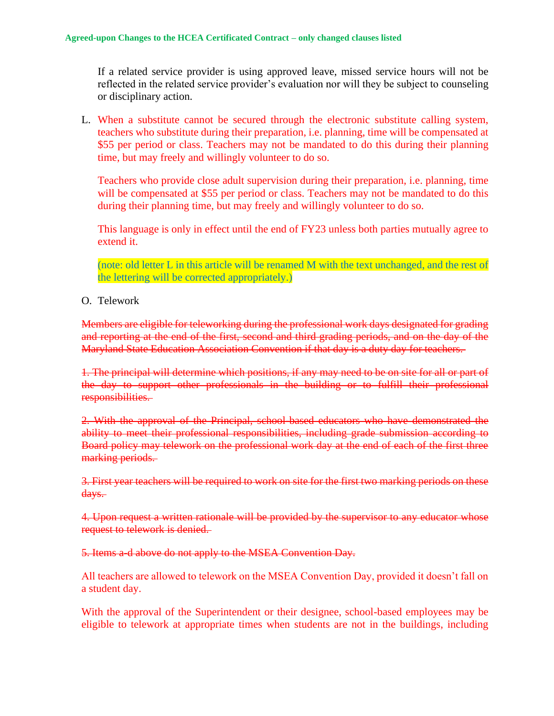If a related service provider is using approved leave, missed service hours will not be reflected in the related service provider's evaluation nor will they be subject to counseling or disciplinary action.

L. When a substitute cannot be secured through the electronic substitute calling system, teachers who substitute during their preparation, i.e. planning, time will be compensated at \$55 per period or class. Teachers may not be mandated to do this during their planning time, but may freely and willingly volunteer to do so.

Teachers who provide close adult supervision during their preparation, i.e. planning, time will be compensated at \$55 per period or class. Teachers may not be mandated to do this during their planning time, but may freely and willingly volunteer to do so.

This language is only in effect until the end of FY23 unless both parties mutually agree to extend it.

(note: old letter L in this article will be renamed M with the text unchanged, and the rest of the lettering will be corrected appropriately.)

O. Telework

Members are eligible for teleworking during the professional work days designated for grading and reporting at the end of the first, second and third grading periods, and on the day of the Maryland State Education Association Convention if that day is a duty day for teachers.

1. The principal will determine which positions, if any may need to be on site for all or part of the day to support other professionals in the building or to fulfill their professional responsibilities.

2. With the approval of the Principal, school-based educators who have demonstrated the ability to meet their professional responsibilities, including grade submission according to Board policy may telework on the professional work day at the end of each of the first three marking periods.

3. First year teachers will be required to work on site for the first two marking periods on these days.

4. Upon request a written rationale will be provided by the supervisor to any educator whose request to telework is denied.

5. Items a-d above do not apply to the MSEA Convention Day.

All teachers are allowed to telework on the MSEA Convention Day, provided it doesn't fall on a student day.

With the approval of the Superintendent or their designee, school-based employees may be eligible to telework at appropriate times when students are not in the buildings, including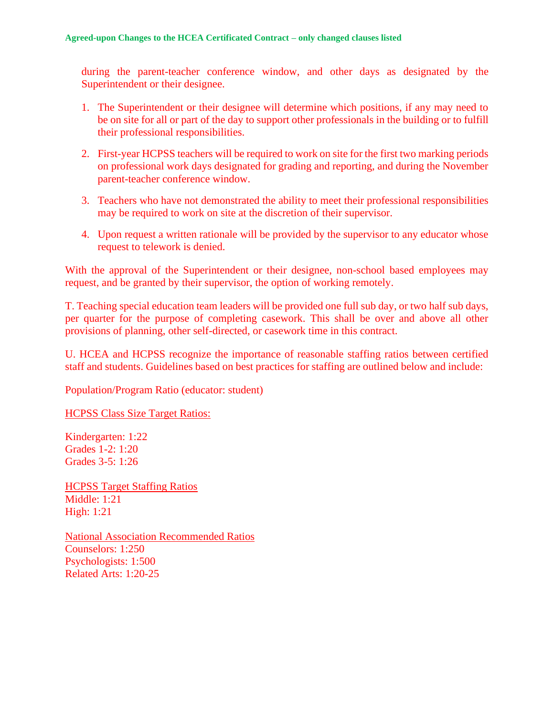during the parent-teacher conference window, and other days as designated by the Superintendent or their designee.

- 1. The Superintendent or their designee will determine which positions, if any may need to be on site for all or part of the day to support other professionals in the building or to fulfill their professional responsibilities.
- 2. First-year HCPSS teachers will be required to work on site for the first two marking periods on professional work days designated for grading and reporting, and during the November parent-teacher conference window.
- 3. Teachers who have not demonstrated the ability to meet their professional responsibilities may be required to work on site at the discretion of their supervisor.
- 4. Upon request a written rationale will be provided by the supervisor to any educator whose request to telework is denied.

With the approval of the Superintendent or their designee, non-school based employees may request, and be granted by their supervisor, the option of working remotely.

T. Teaching special education team leaders will be provided one full sub day, or two half sub days, per quarter for the purpose of completing casework. This shall be over and above all other provisions of planning, other self-directed, or casework time in this contract.

U. HCEA and HCPSS recognize the importance of reasonable staffing ratios between certified staff and students. Guidelines based on best practices for staffing are outlined below and include:

Population/Program Ratio (educator: student)

HCPSS [Class Size Target Ratios:](https://www.hcpss.org/f/aboutus/profile.pdf)

Kindergarten: 1:22 Grades 1-2: 1:20 Grades 3-5: 1:26

HCPSS Target Staffing Ratios Middle: 1:21 High: 1:21

National Association Recommended Ratios Counselors: 1:250 Psychologists: 1:500 Related Arts: 1:20-25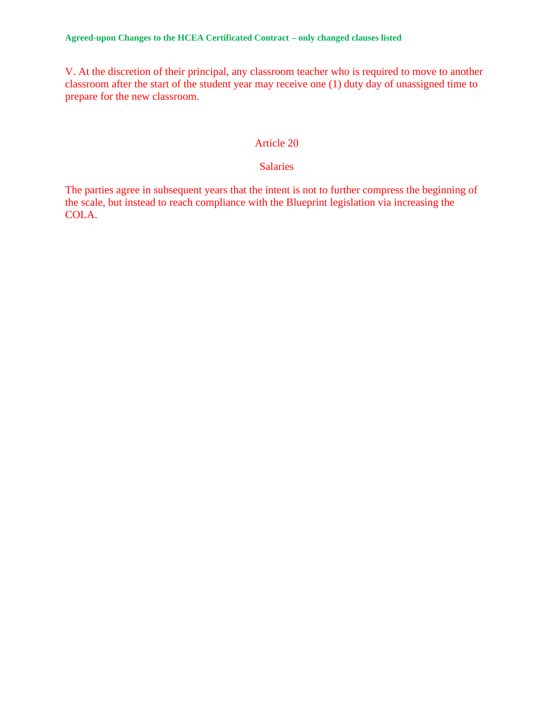V. At the discretion of their principal, any classroom teacher who is required to move to another classroom after the start of the student year may receive one (1) duty day of unassigned time to prepare for the new classroom.

#### Article 20

### Salaries

The parties agree in subsequent years that the intent is not to further compress the beginning of the scale, but instead to reach compliance with the Blueprint legislation via increasing the COLA.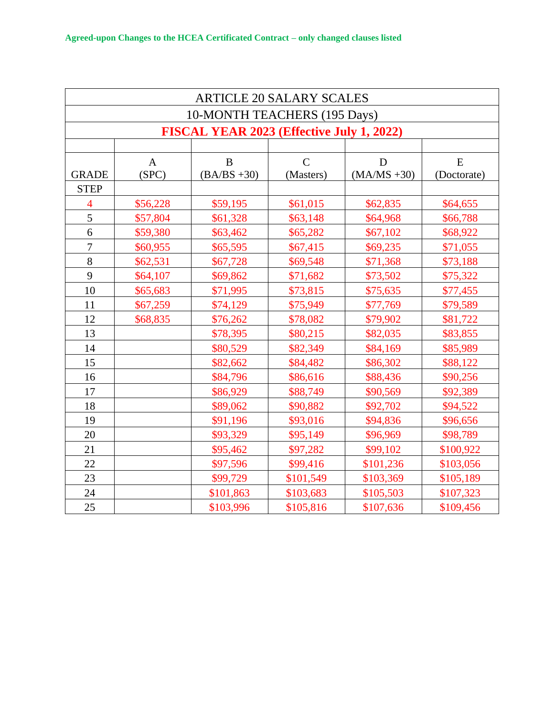| <b>ARTICLE 20 SALARY SCALES</b> |                              |                                           |                            |                     |                  |
|---------------------------------|------------------------------|-------------------------------------------|----------------------------|---------------------|------------------|
|                                 | 10-MONTH TEACHERS (195 Days) |                                           |                            |                     |                  |
|                                 |                              | FISCAL YEAR 2023 (Effective July 1, 2022) |                            |                     |                  |
|                                 |                              |                                           |                            |                     |                  |
| <b>GRADE</b>                    | $\mathbf{A}$<br>(SPC)        | B<br>$(BA/BS + 30)$                       | $\mathcal{C}$<br>(Masters) | D<br>$(MA/MS + 30)$ | E<br>(Doctorate) |
| <b>STEP</b>                     |                              |                                           |                            |                     |                  |
| $\overline{4}$                  | \$56,228                     | \$59,195                                  | \$61,015                   | \$62,835            | \$64,655         |
| 5                               | \$57,804                     | \$61,328                                  | \$63,148                   | \$64,968            | \$66,788         |
| 6                               | \$59,380                     | \$63,462                                  | \$65,282                   | \$67,102            | \$68,922         |
| $\boldsymbol{7}$                | \$60,955                     | \$65,595                                  | \$67,415                   | \$69,235            | \$71,055         |
| 8                               | \$62,531                     | \$67,728                                  | \$69,548                   | \$71,368            | \$73,188         |
| 9                               | \$64,107                     | \$69,862                                  | \$71,682                   | \$73,502            | \$75,322         |
| 10                              | \$65,683                     | \$71,995                                  | \$73,815                   | \$75,635            | \$77,455         |
| 11                              | \$67,259                     | \$74,129                                  | \$75,949                   | \$77,769            | \$79,589         |
| 12                              | \$68,835                     | \$76,262                                  | \$78,082                   | \$79,902            | \$81,722         |
| 13                              |                              | \$78,395                                  | \$80,215                   | \$82,035            | \$83,855         |
| 14                              |                              | \$80,529                                  | \$82,349                   | \$84,169            | \$85,989         |
| 15                              |                              | \$82,662                                  | \$84,482                   | \$86,302            | \$88,122         |
| 16                              |                              | \$84,796                                  | \$86,616                   | \$88,436            | \$90,256         |
| 17                              |                              | \$86,929                                  | \$88,749                   | \$90,569            | \$92,389         |
| 18                              |                              | \$89,062                                  | \$90,882                   | \$92,702            | \$94,522         |
| 19                              |                              | \$91,196                                  | \$93,016                   | \$94,836            | \$96,656         |
| 20                              |                              | \$93,329                                  | \$95,149                   | \$96,969            | \$98,789         |
| 21                              |                              | \$95,462                                  | \$97,282                   | \$99,102            | \$100,922        |
| 22                              |                              | \$97,596                                  | \$99,416                   | \$101,236           | \$103,056        |
| 23                              |                              | \$99,729                                  | \$101,549                  | \$103,369           | \$105,189        |
| 24                              |                              | \$101,863                                 | \$103,683                  | \$105,503           | \$107,323        |
| 25                              |                              | \$103,996                                 | \$105,816                  | \$107,636           | \$109,456        |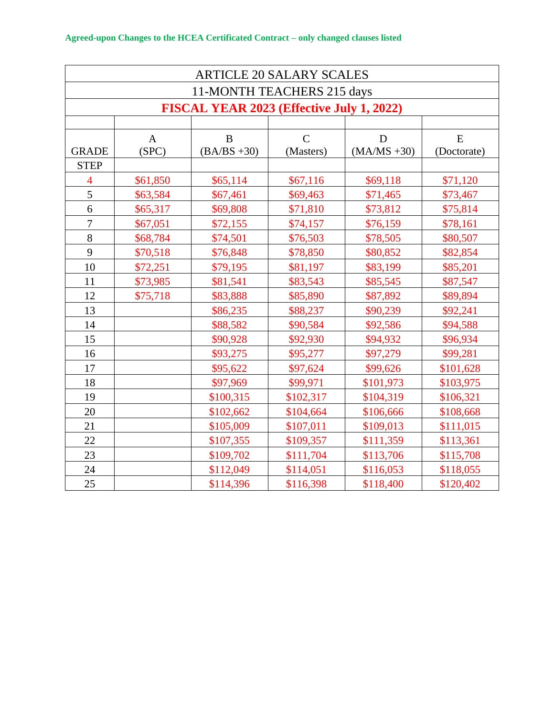| <b>ARTICLE 20 SALARY SCALES</b> |                            |                                           |                             |                     |                  |
|---------------------------------|----------------------------|-------------------------------------------|-----------------------------|---------------------|------------------|
|                                 | 11-MONTH TEACHERS 215 days |                                           |                             |                     |                  |
|                                 |                            | FISCAL YEAR 2023 (Effective July 1, 2022) |                             |                     |                  |
|                                 |                            |                                           |                             |                     |                  |
| <b>GRADE</b>                    | $\mathbf{A}$<br>(SPC)      | $\bf{B}$<br>$(BA/BS + 30)$                | $\overline{C}$<br>(Masters) | D<br>$(MA/MS + 30)$ | E<br>(Doctorate) |
| <b>STEP</b>                     |                            |                                           |                             |                     |                  |
| $\overline{4}$                  | \$61,850                   | \$65,114                                  | \$67,116                    | \$69,118            | \$71,120         |
| 5                               | \$63,584                   | \$67,461                                  | \$69,463                    | \$71,465            | \$73,467         |
| 6                               | \$65,317                   | \$69,808                                  | \$71,810                    | \$73,812            | \$75,814         |
| $\overline{7}$                  | \$67,051                   | \$72,155                                  | \$74,157                    | \$76,159            | \$78,161         |
| 8                               | \$68,784                   | \$74,501                                  | \$76,503                    | \$78,505            | \$80,507         |
| 9                               | \$70,518                   | \$76,848                                  | \$78,850                    | \$80,852            | \$82,854         |
| 10                              | \$72,251                   | \$79,195                                  | \$81,197                    | \$83,199            | \$85,201         |
| 11                              | \$73,985                   | \$81,541                                  | \$83,543                    | \$85,545            | \$87,547         |
| 12                              | \$75,718                   | \$83,888                                  | \$85,890                    | \$87,892            | \$89,894         |
| 13                              |                            | \$86,235                                  | \$88,237                    | \$90,239            | \$92,241         |
| 14                              |                            | \$88,582                                  | \$90,584                    | \$92,586            | \$94,588         |
| 15                              |                            | \$90,928                                  | \$92,930                    | \$94,932            | \$96,934         |
| 16                              |                            | \$93,275                                  | \$95,277                    | \$97,279            | \$99,281         |
| 17                              |                            | \$95,622                                  | \$97,624                    | \$99,626            | \$101,628        |
| 18                              |                            | \$97,969                                  | \$99,971                    | \$101,973           | \$103,975        |
| 19                              |                            | \$100,315                                 | \$102,317                   | \$104,319           | \$106,321        |
| 20                              |                            | \$102,662                                 | \$104,664                   | \$106,666           | \$108,668        |
| 21                              |                            | \$105,009                                 | \$107,011                   | \$109,013           | \$111,015        |
| 22                              |                            | \$107,355                                 | \$109,357                   | \$111,359           | \$113,361        |
| 23                              |                            | \$109,702                                 | \$111,704                   | \$113,706           | \$115,708        |
| 24                              |                            | \$112,049                                 | \$114,051                   | \$116,053           | \$118,055        |
| 25                              |                            | \$114,396                                 | \$116,398                   | \$118,400           | \$120,402        |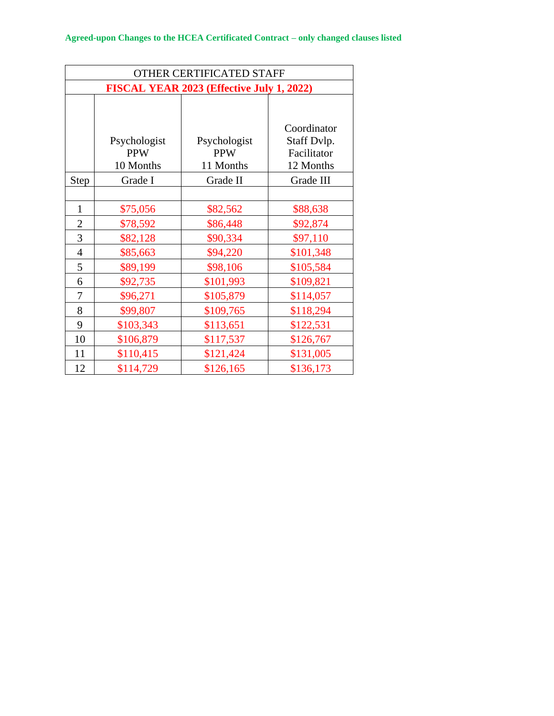| OTHER CERTIFICATED STAFF                  |                                         |                                         |                                                        |  |
|-------------------------------------------|-----------------------------------------|-----------------------------------------|--------------------------------------------------------|--|
| FISCAL YEAR 2023 (Effective July 1, 2022) |                                         |                                         |                                                        |  |
|                                           | Psychologist<br><b>PPW</b><br>10 Months | Psychologist<br><b>PPW</b><br>11 Months | Coordinator<br>Staff Dvlp.<br>Facilitator<br>12 Months |  |
| Step                                      | Grade I                                 | Grade II                                | Grade III                                              |  |
|                                           |                                         |                                         |                                                        |  |
| $\mathbf{1}$                              | \$75,056                                | \$82,562                                | \$88,638                                               |  |
| $\overline{2}$                            | \$78,592                                | \$86,448                                | \$92,874                                               |  |
| 3                                         | \$82,128                                | \$90,334                                | \$97,110                                               |  |
| $\overline{4}$                            | \$85,663                                | \$94,220                                | \$101,348                                              |  |
| 5                                         | \$89,199                                | \$98,106                                | \$105,584                                              |  |
| 6                                         | \$92,735                                | \$101,993                               | \$109,821                                              |  |
| 7                                         | \$96,271                                | \$105,879                               | \$114,057                                              |  |
| 8                                         | \$99,807                                | \$109,765                               | \$118,294                                              |  |
| 9                                         | \$103,343                               | \$113,651                               | \$122,531                                              |  |
| 10                                        | \$106,879                               | \$117,537                               | \$126,767                                              |  |
| 11                                        | \$110,415                               | \$121,424                               | \$131,005                                              |  |
| 12                                        | \$114,729                               | \$126,165                               | \$136,173                                              |  |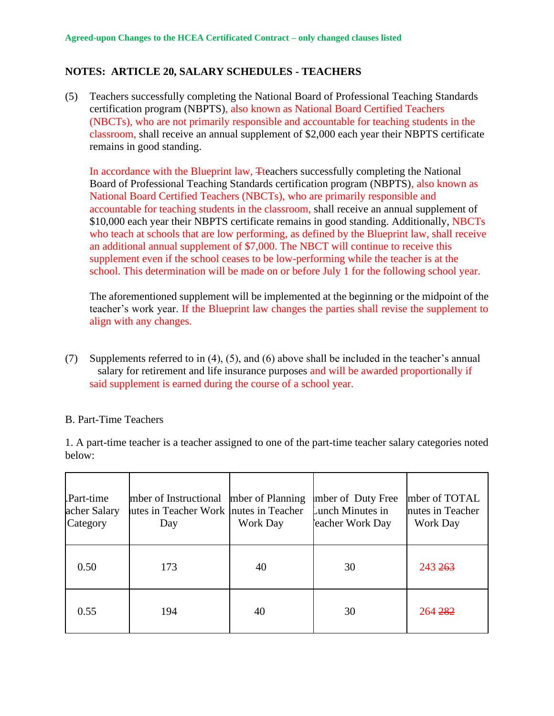### **NOTES: ARTICLE 20, SALARY SCHEDULES - TEACHERS**

(5) Teachers successfully completing the National Board of Professional Teaching Standards certification program (NBPTS), also known as National Board Certified Teachers (NBCTs), who are not primarily responsible and accountable for teaching students in the classroom, shall receive an annual supplement of \$2,000 each year their NBPTS certificate remains in good standing.

In accordance with the Blueprint law, Tteachers successfully completing the National Board of Professional Teaching Standards certification program (NBPTS), also known as National Board Certified Teachers (NBCTs), who are primarily responsible and accountable for teaching students in the classroom, shall receive an annual supplement of \$10,000 each year their NBPTS certificate remains in good standing. Additionally, NBCTs who teach at schools that are low performing, as defined by the Blueprint law, shall receive an additional annual supplement of \$7,000. The NBCT will continue to receive this supplement even if the school ceases to be low-performing while the teacher is at the school. This determination will be made on or before July 1 for the following school year.

The aforementioned supplement will be implemented at the beginning or the midpoint of the teacher's work year. If the Blueprint law changes the parties shall revise the supplement to align with any changes.

(7) Supplements referred to in (4), (5), and (6) above shall be included in the teacher's annual salary for retirement and life insurance purposes and will be awarded proportionally if said supplement is earned during the course of a school year.

#### B. Part-Time Teachers

1. A part-time teacher is a teacher assigned to one of the part-time teacher salary categories noted below:

| Part-time<br>acher Salary<br>Category | mber of Instructional mber of Planning<br>utes in Teacher Work Inutes in Teacher<br>Day | Work Day | mber of Duty Free<br>Lunch Minutes in<br>eacher Work Day | mber of TOTAL<br>nutes in Teacher<br>Work Day |
|---------------------------------------|-----------------------------------------------------------------------------------------|----------|----------------------------------------------------------|-----------------------------------------------|
| 0.50                                  | 173                                                                                     | 40       | 30                                                       | 243 <del>263</del>                            |
| 0.55                                  | 194                                                                                     | 40       | 30                                                       | 264 282                                       |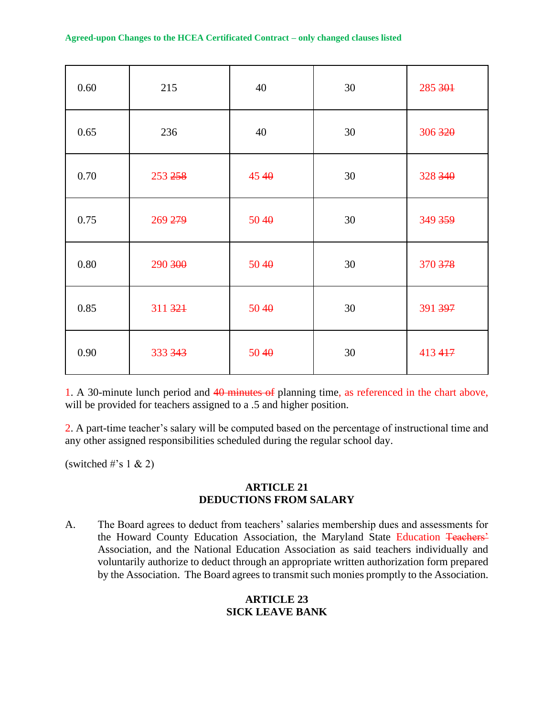| 0.60 | 215     | 40   | 30     | 285 301 |
|------|---------|------|--------|---------|
| 0.65 | 236     | 40   | 30     | 306 320 |
| 0.70 | 253 258 | 4540 | 30     | 328 340 |
| 0.75 | 269 279 | 5040 | $30\,$ | 349 359 |
| 0.80 | 290 300 | 5040 | 30     | 370 378 |
| 0.85 | 311 321 | 5040 | 30     | 391 397 |
| 0.90 | 333 343 | 5040 | 30     | 413 417 |

1. A 30-minute lunch period and 40 minutes of planning time, as referenced in the chart above, will be provided for teachers assigned to a .5 and higher position.

2. A part-time teacher's salary will be computed based on the percentage of instructional time and any other assigned responsibilities scheduled during the regular school day.

(switched #'s  $1 \& 2$ )

#### **ARTICLE 21 DEDUCTIONS FROM SALARY**

A. The Board agrees to deduct from teachers' salaries membership dues and assessments for the Howard County Education Association, the Maryland State Education Teachers' Association, and the National Education Association as said teachers individually and voluntarily authorize to deduct through an appropriate written authorization form prepared by the Association. The Board agrees to transmit such monies promptly to the Association.

## **ARTICLE 23 SICK LEAVE BANK**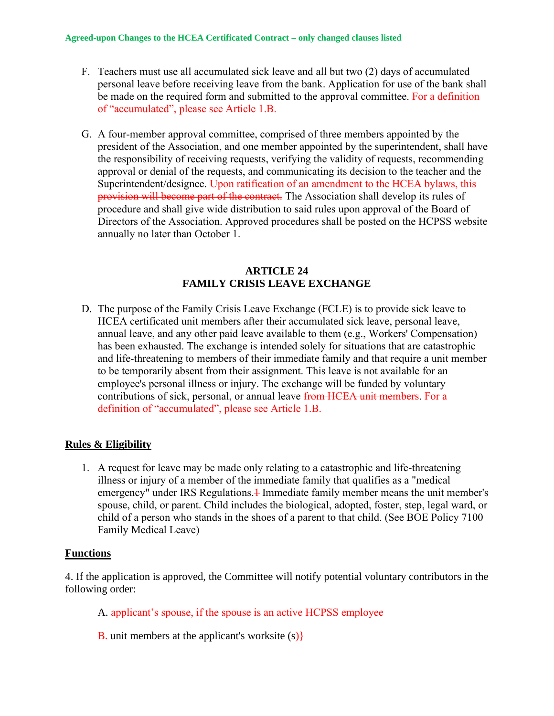- F. Teachers must use all accumulated sick leave and all but two (2) days of accumulated personal leave before receiving leave from the bank. Application for use of the bank shall be made on the required form and submitted to the approval committee. For a definition of "accumulated", please see Article 1.B.
- G. A four-member approval committee, comprised of three members appointed by the president of the Association, and one member appointed by the superintendent, shall have the responsibility of receiving requests, verifying the validity of requests, recommending approval or denial of the requests, and communicating its decision to the teacher and the Superintendent/designee. Upon ratification of an amendment to the HCEA bylaws, this provision will become part of the contract. The Association shall develop its rules of procedure and shall give wide distribution to said rules upon approval of the Board of Directors of the Association. Approved procedures shall be posted on the HCPSS website annually no later than October 1.

#### **ARTICLE 24 FAMILY CRISIS LEAVE EXCHANGE**

D. The purpose of the Family Crisis Leave Exchange (FCLE) is to provide sick leave to HCEA certificated unit members after their accumulated sick leave, personal leave, annual leave, and any other paid leave available to them (e.g., Workers' Compensation) has been exhausted. The exchange is intended solely for situations that are catastrophic and life-threatening to members of their immediate family and that require a unit member to be temporarily absent from their assignment. This leave is not available for an employee's personal illness or injury. The exchange will be funded by voluntary contributions of sick, personal, or annual leave from HCEA unit members. For a definition of "accumulated", please see Article 1.B.

### **Rules & Eligibility**

1. A request for leave may be made only relating to a catastrophic and life-threatening illness or injury of a member of the immediate family that qualifies as a "medical emergency" under IRS Regulations.<sup>1</sup> Immediate family member means the unit member's spouse, child, or parent. Child includes the biological, adopted, foster, step, legal ward, or child of a person who stands in the shoes of a parent to that child. (See BOE Policy 7100 Family Medical Leave)

#### **Functions**

4. If the application is approved, the Committee will notify potential voluntary contributors in the following order:

- A. applicant's spouse, if the spouse is an active HCPSS employee
- **B.** unit members at the applicant's worksite  $(s)$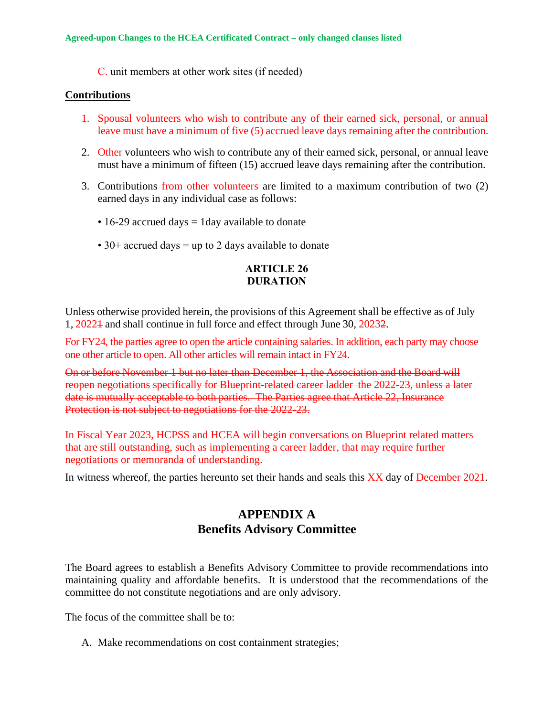C. unit members at other work sites (if needed)

#### **Contributions**

- 1. Spousal volunteers who wish to contribute any of their earned sick, personal, or annual leave must have a minimum of five (5) accrued leave days remaining after the contribution.
- 2. Other volunteers who wish to contribute any of their earned sick, personal, or annual leave must have a minimum of fifteen (15) accrued leave days remaining after the contribution.
- 3. Contributions from other volunteers are limited to a maximum contribution of two (2) earned days in any individual case as follows:
	- $\cdot$  16-29 accrued days = 1 day available to donate
	- 30+ accrued days = up to 2 days available to donate

#### **ARTICLE 26 DURATION**

Unless otherwise provided herein, the provisions of this Agreement shall be effective as of July 1, 20221 and shall continue in full force and effect through June 30, 20232.

For FY24, the parties agree to open the article containing salaries. In addition, each party may choose one other article to open. All other articles will remain intact in FY24.

On or before November 1 but no later than December 1, the Association and the Board will reopen negotiations specifically for Blueprint-related career ladder the 2022-23, unless a later date is mutually acceptable to both parties. The Parties agree that Article 22, Insurance Protection is not subject to negotiations for the 2022-23.

In Fiscal Year 2023, HCPSS and HCEA will begin conversations on Blueprint related matters that are still outstanding, such as implementing a career ladder, that may require further negotiations or memoranda of understanding.

In witness whereof, the parties hereunto set their hands and seals this XX day of December 2021.

## **APPENDIX A Benefits Advisory Committee**

The Board agrees to establish a Benefits Advisory Committee to provide recommendations into maintaining quality and affordable benefits. It is understood that the recommendations of the committee do not constitute negotiations and are only advisory.

The focus of the committee shall be to:

A. Make recommendations on cost containment strategies;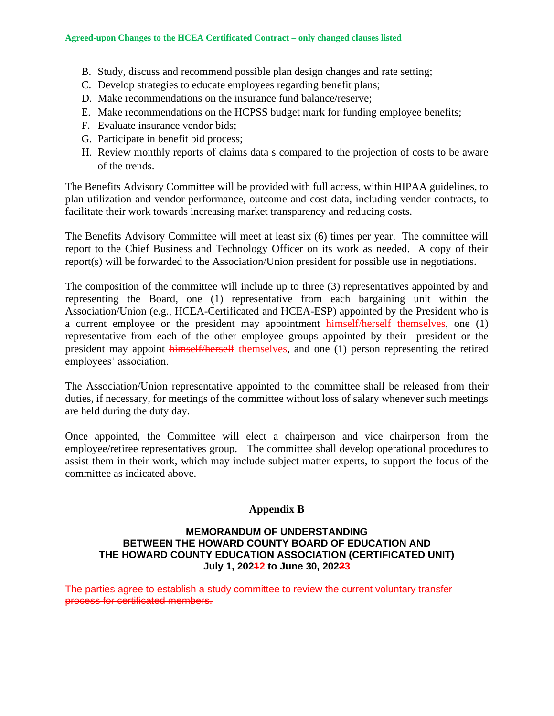- B. Study, discuss and recommend possible plan design changes and rate setting;
- C. Develop strategies to educate employees regarding benefit plans;
- D. Make recommendations on the insurance fund balance/reserve;
- E. Make recommendations on the HCPSS budget mark for funding employee benefits;
- F. Evaluate insurance vendor bids;
- G. Participate in benefit bid process;
- H. Review monthly reports of claims data s compared to the projection of costs to be aware of the trends.

The Benefits Advisory Committee will be provided with full access, within HIPAA guidelines, to plan utilization and vendor performance, outcome and cost data, including vendor contracts, to facilitate their work towards increasing market transparency and reducing costs.

The Benefits Advisory Committee will meet at least six (6) times per year. The committee will report to the Chief Business and Technology Officer on its work as needed. A copy of their report(s) will be forwarded to the Association/Union president for possible use in negotiations.

The composition of the committee will include up to three (3) representatives appointed by and representing the Board, one (1) representative from each bargaining unit within the Association/Union (e.g., HCEA-Certificated and HCEA-ESP) appointed by the President who is a current employee or the president may appointment himself/herself themselves, one (1) representative from each of the other employee groups appointed by their president or the president may appoint himself/herself themselves, and one (1) person representing the retired employees' association.

The Association/Union representative appointed to the committee shall be released from their duties, if necessary, for meetings of the committee without loss of salary whenever such meetings are held during the duty day.

Once appointed, the Committee will elect a chairperson and vice chairperson from the employee/retiree representatives group. The committee shall develop operational procedures to assist them in their work, which may include subject matter experts, to support the focus of the committee as indicated above.

#### **Appendix B**

#### **MEMORANDUM OF UNDERSTANDING BETWEEN THE HOWARD COUNTY BOARD OF EDUCATION AND THE HOWARD COUNTY EDUCATION ASSOCIATION (CERTIFICATED UNIT) July 1, 20212 to June 30, 20223**

The parties agree to establish a study committee to review the current voluntary transfer process for certificated members.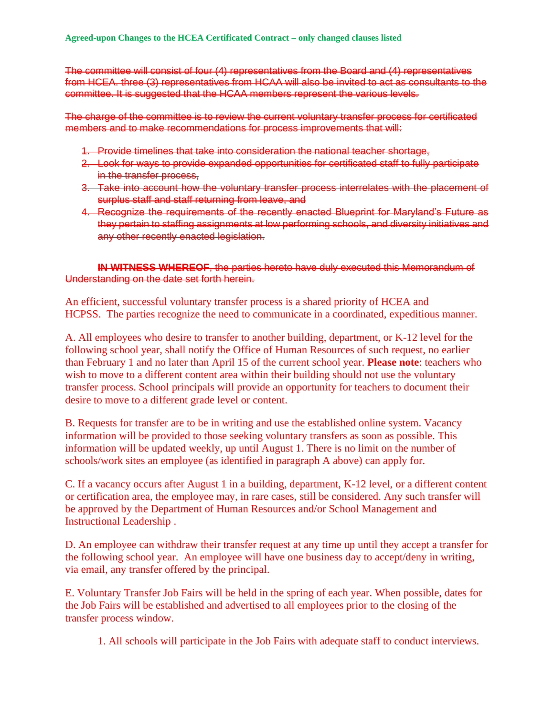The committee will consist of four (4) representatives from the Board and (4) representatives from HCEA. three (3) representatives from HCAA will also be invited to act as consultants to the committee. It is suggested that the HCAA members represent the various levels.

The charge of the committee is to review the current voluntary transfer process for certificated members and to make recommendations for process improvements that will:

- 1. Provide timelines that take into consideration the national teacher shortage,
- 2. Look for ways to provide expanded opportunities for certificated staff to fully participate in the transfer process,
- 3. Take into account how the voluntary transfer process interrelates with the placement of surplus staff and staff returning from leave, and
- 4. Recognize the requirements of the recently enacted Blueprint for Maryland's Future as they pertain to staffing assignments at low performing schools, and diversity initiatives and any other recently enacted legislation.

**IN WITNESS WHEREOF**, the parties hereto have duly executed this Memorandum of Understanding on the date set forth herein.

An efficient, successful voluntary transfer process is a shared priority of HCEA and HCPSS. The parties recognize the need to communicate in a coordinated, expeditious manner.

A. All employees who desire to transfer to another building, department, or K-12 level for the following school year, shall notify the Office of Human Resources of such request, no earlier than February 1 and no later than April 15 of the current school year. **Please note**: teachers who wish to move to a different content area within their building should not use the voluntary transfer process. School principals will provide an opportunity for teachers to document their desire to move to a different grade level or content.

B. Requests for transfer are to be in writing and use the established online system. Vacancy information will be provided to those seeking voluntary transfers as soon as possible. This information will be updated weekly, up until August 1. There is no limit on the number of schools/work sites an employee (as identified in paragraph A above) can apply for.

C. If a vacancy occurs after August 1 in a building, department, K-12 level, or a different content or certification area, the employee may, in rare cases, still be considered. Any such transfer will be approved by the Department of Human Resources and/or School Management and Instructional Leadership .

D. An employee can withdraw their transfer request at any time up until they accept a transfer for the following school year. An employee will have one business day to accept/deny in writing, via email, any transfer offered by the principal.

E. Voluntary Transfer Job Fairs will be held in the spring of each year. When possible, dates for the Job Fairs will be established and advertised to all employees prior to the closing of the transfer process window.

1. All schools will participate in the Job Fairs with adequate staff to conduct interviews.